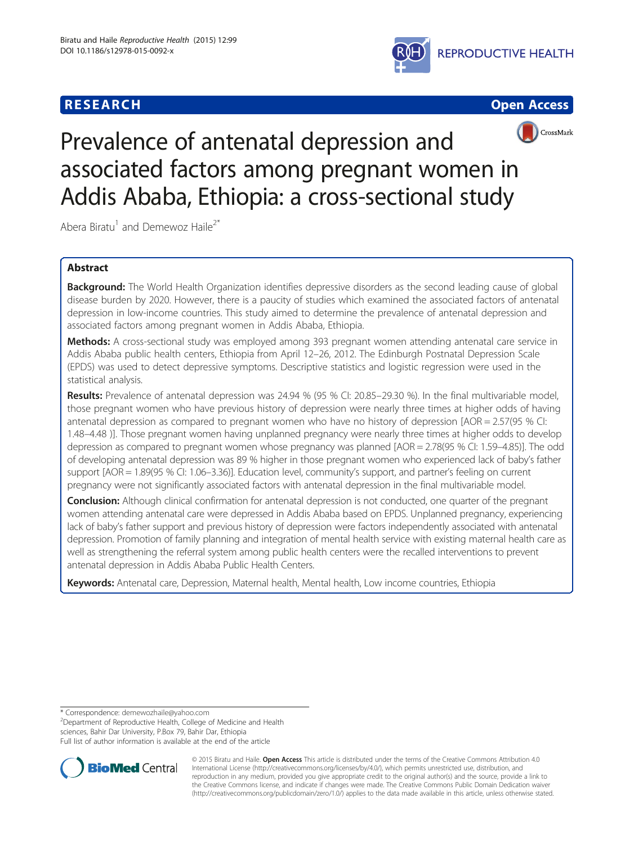





# Prevalence of antenatal depression and associated factors among pregnant women in Addis Ababa, Ethiopia: a cross-sectional study

Abera Biratu<sup>1</sup> and Demewoz Haile<sup>2\*</sup>

# Abstract

Background: The World Health Organization identifies depressive disorders as the second leading cause of global disease burden by 2020. However, there is a paucity of studies which examined the associated factors of antenatal depression in low-income countries. This study aimed to determine the prevalence of antenatal depression and associated factors among pregnant women in Addis Ababa, Ethiopia.

Methods: A cross-sectional study was employed among 393 pregnant women attending antenatal care service in Addis Ababa public health centers, Ethiopia from April 12–26, 2012. The Edinburgh Postnatal Depression Scale (EPDS) was used to detect depressive symptoms. Descriptive statistics and logistic regression were used in the statistical analysis.

Results: Prevalence of antenatal depression was 24.94 % (95 % CI: 20.85–29.30 %). In the final multivariable model, those pregnant women who have previous history of depression were nearly three times at higher odds of having antenatal depression as compared to pregnant women who have no history of depression [AOR = 2.57(95 % CI: 1.48–4.48 )]. Those pregnant women having unplanned pregnancy were nearly three times at higher odds to develop depression as compared to pregnant women whose pregnancy was planned [AOR = 2.78(95 % CI: 1.59–4.85)]. The odd of developing antenatal depression was 89 % higher in those pregnant women who experienced lack of baby's father support [AOR = 1.89(95 % CI: 1.06–3.36)]. Education level, community's support, and partner's feeling on current pregnancy were not significantly associated factors with antenatal depression in the final multivariable model.

**Conclusion:** Although clinical confirmation for antenatal depression is not conducted, one quarter of the pregnant women attending antenatal care were depressed in Addis Ababa based on EPDS. Unplanned pregnancy, experiencing lack of baby's father support and previous history of depression were factors independently associated with antenatal depression. Promotion of family planning and integration of mental health service with existing maternal health care as well as strengthening the referral system among public health centers were the recalled interventions to prevent antenatal depression in Addis Ababa Public Health Centers.

Keywords: Antenatal care, Depression, Maternal health, Mental health, Low income countries, Ethiopia

\* Correspondence: [demewozhaile@yahoo.com](mailto:demewozhaile@yahoo.com) <sup>2</sup>

<sup>2</sup>Department of Reproductive Health, College of Medicine and Health sciences, Bahir Dar University, P.Box 79, Bahir Dar, Ethiopia

Full list of author information is available at the end of the article



© 2015 Biratu and Haile. Open Access This article is distributed under the terms of the Creative Commons Attribution 4.0 International License [\(http://creativecommons.org/licenses/by/4.0/](http://creativecommons.org/licenses/by/4.0/)), which permits unrestricted use, distribution, and reproduction in any medium, provided you give appropriate credit to the original author(s) and the source, provide a link to the Creative Commons license, and indicate if changes were made. The Creative Commons Public Domain Dedication waiver [\(http://creativecommons.org/publicdomain/zero/1.0/](http://creativecommons.org/publicdomain/zero/1.0/)) applies to the data made available in this article, unless otherwise stated.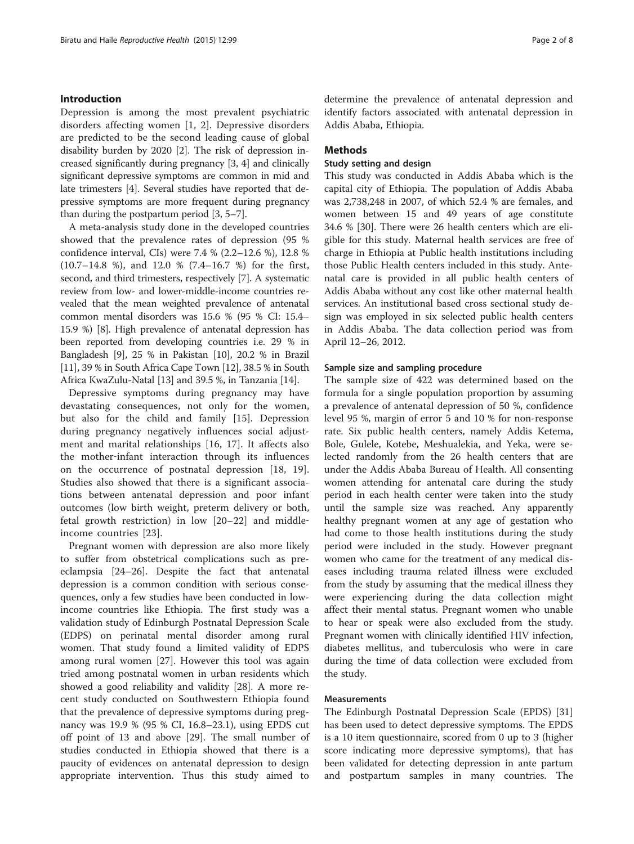# Introduction

Depression is among the most prevalent psychiatric disorders affecting women [[1](#page-6-0), [2\]](#page-6-0). Depressive disorders are predicted to be the second leading cause of global disability burden by 2020 [\[2](#page-6-0)]. The risk of depression increased significantly during pregnancy [[3, 4\]](#page-6-0) and clinically significant depressive symptoms are common in mid and late trimesters [\[4](#page-6-0)]. Several studies have reported that depressive symptoms are more frequent during pregnancy than during the postpartum period [[3, 5](#page-6-0)–[7\]](#page-6-0).

A meta-analysis study done in the developed countries showed that the prevalence rates of depression (95 % confidence interval, CIs) were 7.4 % (2.2–12.6 %), 12.8 % (10.7–14.8 %), and 12.0 % (7.4–16.7 %) for the first, second, and third trimesters, respectively [[7](#page-6-0)]. A systematic review from low- and lower-middle-income countries revealed that the mean weighted prevalence of antenatal common mental disorders was 15.6 % (95 % CI: 15.4– 15.9 %) [\[8\]](#page-6-0). High prevalence of antenatal depression has been reported from developing countries i.e. 29 % in Bangladesh [[9](#page-6-0)], 25 % in Pakistan [\[10\]](#page-6-0), 20.2 % in Brazil [[11](#page-6-0)], 39 % in South Africa Cape Town [[12](#page-6-0)], 38.5 % in South Africa KwaZulu-Natal [[13](#page-6-0)] and 39.5 %, in Tanzania [\[14\]](#page-6-0).

Depressive symptoms during pregnancy may have devastating consequences, not only for the women, but also for the child and family [\[15](#page-6-0)]. Depression during pregnancy negatively influences social adjustment and marital relationships [\[16](#page-6-0), [17\]](#page-6-0). It affects also the mother-infant interaction through its influences on the occurrence of postnatal depression [[18, 19](#page-6-0)]. Studies also showed that there is a significant associations between antenatal depression and poor infant outcomes (low birth weight, preterm delivery or both, fetal growth restriction) in low [\[20](#page-6-0)–[22](#page-6-0)] and middle‐ income countries [\[23](#page-6-0)].

Pregnant women with depression are also more likely to suffer from obstetrical complications such as preeclampsia [[24](#page-6-0)–[26](#page-6-0)]. Despite the fact that antenatal depression is a common condition with serious consequences, only a few studies have been conducted in lowincome countries like Ethiopia. The first study was a validation study of Edinburgh Postnatal Depression Scale (EDPS) on perinatal mental disorder among rural women. That study found a limited validity of EDPS among rural women [\[27\]](#page-6-0). However this tool was again tried among postnatal women in urban residents which showed a good reliability and validity [[28\]](#page-6-0). A more recent study conducted on Southwestern Ethiopia found that the prevalence of depressive symptoms during pregnancy was 19.9 % (95 % CI, 16.8–23.1), using EPDS cut off point of 13 and above [\[29\]](#page-6-0). The small number of studies conducted in Ethiopia showed that there is a paucity of evidences on antenatal depression to design appropriate intervention. Thus this study aimed to

determine the prevalence of antenatal depression and identify factors associated with antenatal depression in Addis Ababa, Ethiopia.

# Methods

#### Study setting and design

This study was conducted in Addis Ababa which is the capital city of Ethiopia. The population of Addis Ababa was 2,738,248 in 2007, of which 52.4 % are females, and women between 15 and 49 years of age constitute 34.6 % [\[30](#page-6-0)]. There were 26 health centers which are eligible for this study. Maternal health services are free of charge in Ethiopia at Public health institutions including those Public Health centers included in this study. Antenatal care is provided in all public health centers of Addis Ababa without any cost like other maternal health services. An institutional based cross sectional study design was employed in six selected public health centers in Addis Ababa. The data collection period was from April 12–26, 2012.

#### Sample size and sampling procedure

The sample size of 422 was determined based on the formula for a single population proportion by assuming a prevalence of antenatal depression of 50 %, confidence level 95 %, margin of error 5 and 10 % for non-response rate. Six public health centers, namely Addis Ketema, Bole, Gulele, Kotebe, Meshualekia, and Yeka, were selected randomly from the 26 health centers that are under the Addis Ababa Bureau of Health. All consenting women attending for antenatal care during the study period in each health center were taken into the study until the sample size was reached. Any apparently healthy pregnant women at any age of gestation who had come to those health institutions during the study period were included in the study. However pregnant women who came for the treatment of any medical diseases including trauma related illness were excluded from the study by assuming that the medical illness they were experiencing during the data collection might affect their mental status. Pregnant women who unable to hear or speak were also excluded from the study. Pregnant women with clinically identified HIV infection, diabetes mellitus, and tuberculosis who were in care during the time of data collection were excluded from the study.

#### Measurements

The Edinburgh Postnatal Depression Scale (EPDS) [[31](#page-6-0)] has been used to detect depressive symptoms. The EPDS is a 10 item questionnaire, scored from 0 up to 3 (higher score indicating more depressive symptoms), that has been validated for detecting depression in ante partum and postpartum samples in many countries. The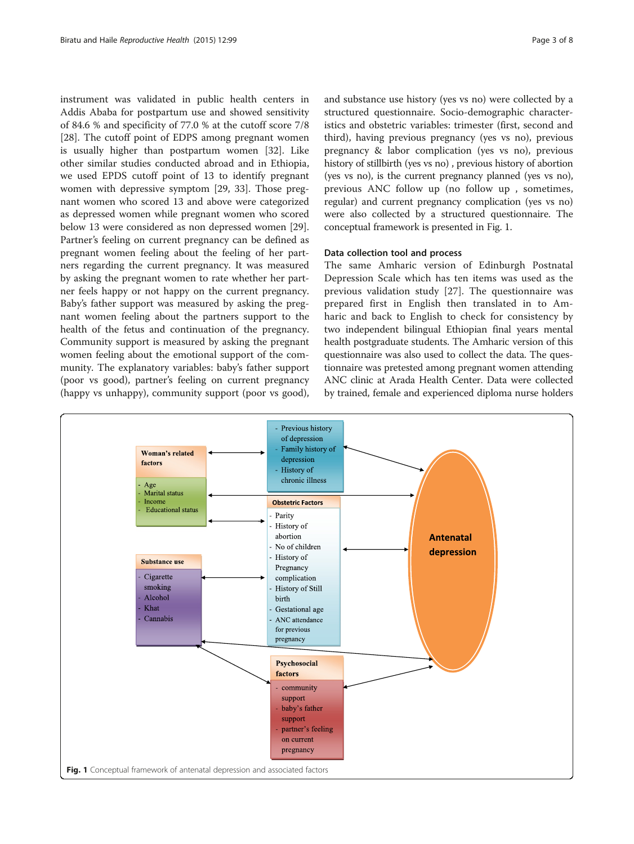instrument was validated in public health centers in Addis Ababa for postpartum use and showed sensitivity of 84.6 % and specificity of 77.0 % at the cutoff score 7/8 [[28\]](#page-6-0). The cutoff point of EDPS among pregnant women is usually higher than postpartum women [\[32\]](#page-6-0). Like other similar studies conducted abroad and in Ethiopia, we used EPDS cutoff point of 13 to identify pregnant women with depressive symptom [\[29](#page-6-0), [33](#page-6-0)]. Those pregnant women who scored 13 and above were categorized as depressed women while pregnant women who scored below 13 were considered as non depressed women [\[29](#page-6-0)]. Partner's feeling on current pregnancy can be defined as pregnant women feeling about the feeling of her partners regarding the current pregnancy. It was measured by asking the pregnant women to rate whether her partner feels happy or not happy on the current pregnancy. Baby's father support was measured by asking the pregnant women feeling about the partners support to the health of the fetus and continuation of the pregnancy. Community support is measured by asking the pregnant women feeling about the emotional support of the community. The explanatory variables: baby's father support (poor vs good), partner's feeling on current pregnancy (happy vs unhappy), community support (poor vs good),

and substance use history (yes vs no) were collected by a structured questionnaire. Socio-demographic characteristics and obstetric variables: trimester (first, second and third), having previous pregnancy (yes vs no), previous pregnancy & labor complication (yes vs no), previous history of stillbirth (yes vs no) , previous history of abortion (yes vs no), is the current pregnancy planned (yes vs no), previous ANC follow up (no follow up , sometimes, regular) and current pregnancy complication (yes vs no) were also collected by a structured questionnaire. The conceptual framework is presented in Fig. 1.

# Data collection tool and process

The same Amharic version of Edinburgh Postnatal Depression Scale which has ten items was used as the previous validation study [[27\]](#page-6-0). The questionnaire was prepared first in English then translated in to Amharic and back to English to check for consistency by two independent bilingual Ethiopian final years mental health postgraduate students. The Amharic version of this questionnaire was also used to collect the data. The questionnaire was pretested among pregnant women attending ANC clinic at Arada Health Center. Data were collected by trained, female and experienced diploma nurse holders

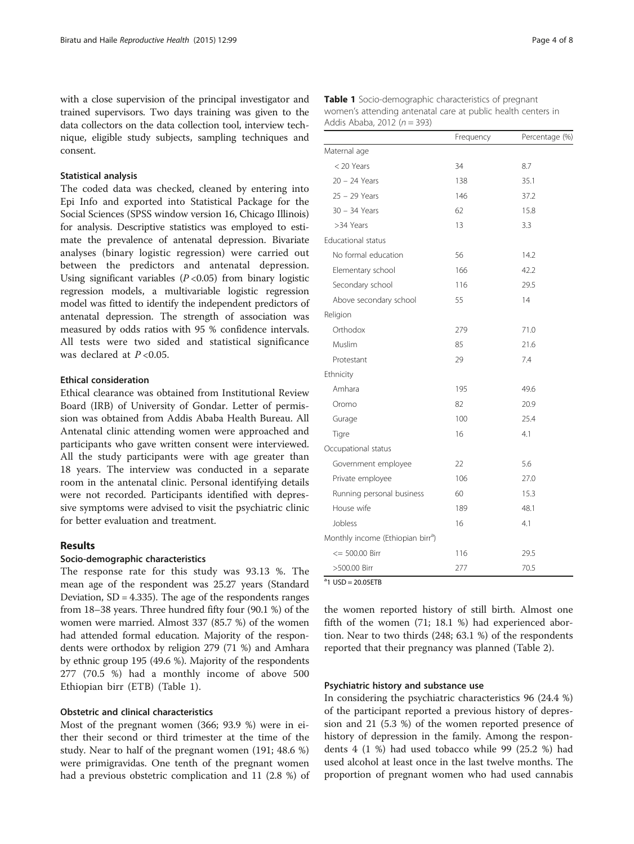with a close supervision of the principal investigator and trained supervisors. Two days training was given to the data collectors on the data collection tool, interview technique, eligible study subjects, sampling techniques and consent.

#### Statistical analysis

The coded data was checked, cleaned by entering into Epi Info and exported into Statistical Package for the Social Sciences (SPSS window version 16, Chicago Illinois) for analysis. Descriptive statistics was employed to estimate the prevalence of antenatal depression. Bivariate analyses (binary logistic regression) were carried out between the predictors and antenatal depression. Using significant variables  $(P<0.05)$  from binary logistic regression models, a multivariable logistic regression model was fitted to identify the independent predictors of antenatal depression. The strength of association was measured by odds ratios with 95 % confidence intervals. All tests were two sided and statistical significance was declared at  $P < 0.05$ .

# Ethical consideration

Ethical clearance was obtained from Institutional Review Board (IRB) of University of Gondar. Letter of permission was obtained from Addis Ababa Health Bureau. All Antenatal clinic attending women were approached and participants who gave written consent were interviewed. All the study participants were with age greater than 18 years. The interview was conducted in a separate room in the antenatal clinic. Personal identifying details were not recorded. Participants identified with depressive symptoms were advised to visit the psychiatric clinic for better evaluation and treatment.

# Results

#### Socio-demographic characteristics

The response rate for this study was 93.13 %. The mean age of the respondent was 25.27 years (Standard Deviation, SD = 4.335). The age of the respondents ranges from 18–38 years. Three hundred fifty four (90.1 %) of the women were married. Almost 337 (85.7 %) of the women had attended formal education. Majority of the respondents were orthodox by religion 279 (71 %) and Amhara by ethnic group 195 (49.6 %). Majority of the respondents 277 (70.5 %) had a monthly income of above 500 Ethiopian birr (ETB) (Table 1).

# Obstetric and clinical characteristics

Most of the pregnant women (366; 93.9 %) were in either their second or third trimester at the time of the study. Near to half of the pregnant women (191; 48.6 %) were primigravidas. One tenth of the pregnant women had a previous obstetric complication and 11 (2.8 %) of

|                                               | Frequency | Percentage (%) |
|-----------------------------------------------|-----------|----------------|
| Maternal age                                  |           |                |
| < 20 Years                                    | 34        | 8.7            |
| 20 - 24 Years                                 | 138       | 35.1           |
| 25 - 29 Years                                 | 146       | 37.2           |
| 30 - 34 Years                                 | 62        | 15.8           |
| >34 Years                                     | 13        | 3.3            |
| Educational status                            |           |                |
| No formal education                           | 56        | 14.2           |
| Elementary school                             | 166       | 42.2           |
| Secondary school                              | 116       | 29.5           |
| Above secondary school                        | 55        | 14             |
| Religion                                      |           |                |
| Orthodox                                      | 279       | 71.0           |
| Muslim                                        | 85        | 21.6           |
| Protestant                                    | 29        | 7.4            |
| Ethnicity                                     |           |                |
| Amhara                                        | 195       | 49.6           |
| Oromo                                         | 82        | 20.9           |
| Gurage                                        | 100       | 25.4           |
| Tigre                                         | 16        | 4.1            |
| Occupational status                           |           |                |
| Government employee                           | 22        | 5.6            |
| Private employee                              | 106       | 27.0           |
| Running personal business                     | 60        | 15.3           |
| House wife                                    | 189       | 48.1           |
| Jobless                                       | 16        | 4.1            |
| Monthly income (Ethiopian birr <sup>a</sup> ) |           |                |
| $\le$ = 500.00 Birr                           | 116       | 29.5           |
| >500.00 Birr                                  | 277       | 70.5           |

Table 1 Socio-demographic characteristics of pregnant women's attending antenatal care at public health centers in Addis Ababa, 2012 ( $n = 393$ )

 $a$ 1 USD = 20.05ETB

the women reported history of still birth. Almost one fifth of the women (71; 18.1 %) had experienced abortion. Near to two thirds (248; 63.1 %) of the respondents reported that their pregnancy was planned (Table [2](#page-4-0)).

#### Psychiatric history and substance use

In considering the psychiatric characteristics 96 (24.4 %) of the participant reported a previous history of depression and 21 (5.3 %) of the women reported presence of history of depression in the family. Among the respondents 4 (1 %) had used tobacco while 99 (25.2 %) had used alcohol at least once in the last twelve months. The proportion of pregnant women who had used cannabis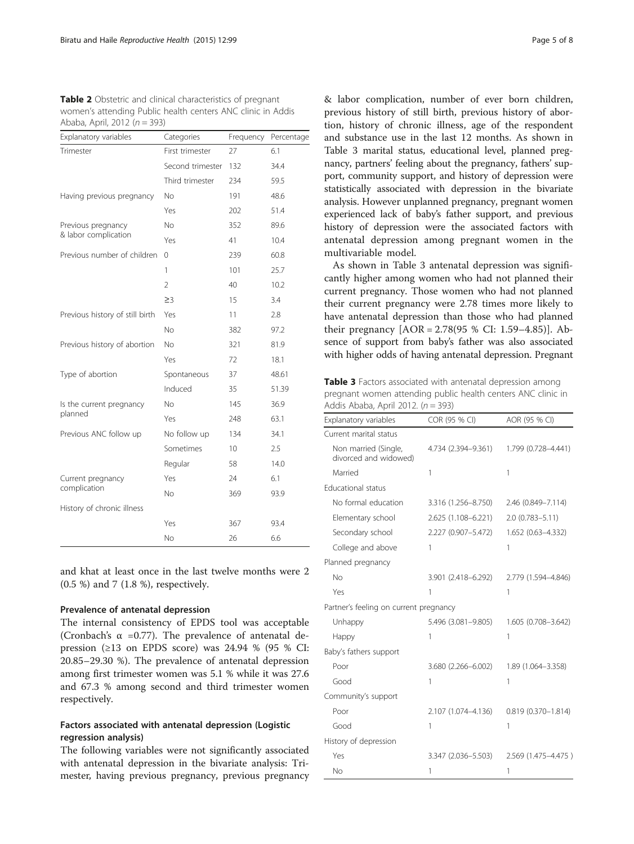<span id="page-4-0"></span>

| <b>Table 2</b> Obstetric and clinical characteristics of pregnant |
|-------------------------------------------------------------------|
| women's attending Public health centers ANC clinic in Addis       |
| Ababa, April, 2012 ( $n = 393$ )                                  |

| Explanatory variables                      | Categories               | Frequency | Percentage |
|--------------------------------------------|--------------------------|-----------|------------|
| Trimester                                  | First trimester          | 27        | 6.1        |
|                                            | Second trimester         | 132       | 34.4       |
|                                            | Third trimester          | 234       | 59.5       |
| Having previous pregnancy                  | No.                      | 191       | 48.6       |
|                                            | Yes                      | 202       | 51.4       |
| Previous pregnancy<br>& labor complication | No                       | 352       | 89.6       |
|                                            | Yes                      | 41        | 10.4       |
| Previous number of children                | 0                        | 239       | 60.8       |
|                                            | 1                        | 101       | 25.7       |
|                                            | $\overline{\phantom{a}}$ | 40        | 10.2       |
|                                            | $\geq$ 3                 | 15        | 3.4        |
| Previous history of still birth            | Yes                      | 11        | 2.8        |
|                                            | <b>No</b>                | 382       | 97.2       |
| Previous history of abortion               | <b>No</b>                | 321       | 81.9       |
|                                            | Yes                      | 72        | 18.1       |
| Type of abortion                           | Spontaneous              | 37        | 48.61      |
|                                            | Induced                  | 35        | 51.39      |
| Is the current pregnancy<br>planned        | No.                      | 145       | 36.9       |
|                                            | Yes                      | 248       | 63.1       |
| Previous ANC follow up                     | No follow up             | 134       | 34.1       |
|                                            | Sometimes                | 10        | 2.5        |
|                                            | Regular                  | 58        | 14.0       |
| Current pregnancy<br>complication          | Yes                      | 24        | 6.1        |
|                                            | No.                      | 369       | 93.9       |
| History of chronic illness                 |                          |           |            |
|                                            | Yes                      | 367       | 93.4       |
|                                            | <b>No</b>                | 26        | 6.6        |

and khat at least once in the last twelve months were 2 (0.5 %) and 7 (1.8 %), respectively.

# Prevalence of antenatal depression

The internal consistency of EPDS tool was acceptable (Cronbach's  $\alpha$  =0.77). The prevalence of antenatal depression ( $\geq$ 13 on EPDS score) was 24.94 % (95 % CI: 20.85–29.30 %). The prevalence of antenatal depression among first trimester women was 5.1 % while it was 27.6 and 67.3 % among second and third trimester women respectively.

# Factors associated with antenatal depression (Logistic regression analysis)

The following variables were not significantly associated with antenatal depression in the bivariate analysis: Trimester, having previous pregnancy, previous pregnancy & labor complication, number of ever born children, previous history of still birth, previous history of abortion, history of chronic illness, age of the respondent and substance use in the last 12 months. As shown in Table 3 marital status, educational level, planned pregnancy, partners' feeling about the pregnancy, fathers' support, community support, and history of depression were statistically associated with depression in the bivariate analysis. However unplanned pregnancy, pregnant women experienced lack of baby's father support, and previous history of depression were the associated factors with antenatal depression among pregnant women in the multivariable model.

As shown in Table 3 antenatal depression was significantly higher among women who had not planned their current pregnancy. Those women who had not planned their current pregnancy were 2.78 times more likely to have antenatal depression than those who had planned their pregnancy [AOR = 2.78(95 % CI: 1.59–4.85)]. Absence of support from baby's father was also associated with higher odds of having antenatal depression. Pregnant

Table 3 Factors associated with antenatal depression among pregnant women attending public health centers ANC clinic in Addis Ababa, April 2012.  $(n = 393)$ 

| Explanatory variables                         | COR (95 % CI)       | AOR (95 % CI)          |
|-----------------------------------------------|---------------------|------------------------|
| Current marital status                        |                     |                        |
| Non married (Single,<br>divorced and widowed) | 4.734 (2.394-9.361) | 1.799 (0.728-4.441)    |
| Married                                       | 1                   | 1                      |
| <b>Educational status</b>                     |                     |                        |
| No formal education                           | 3.316 (1.256-8.750) | 2.46 (0.849-7.114)     |
| Elementary school                             | 2.625 (1.108-6.221) | 2.0 (0.783-5.11)       |
| Secondary school                              | 2.227 (0.907-5.472) | 1.652 (0.63-4.332)     |
| College and above                             | 1                   | 1                      |
| Planned pregnancy                             |                     |                        |
| No                                            | 3.901 (2.418-6.292) | 2.779 (1.594-4.846)    |
| Yes                                           | 1                   | 1                      |
| Partner's feeling on current pregnancy        |                     |                        |
| Unhappy                                       | 5.496 (3.081-9.805) | 1.605 (0.708-3.642)    |
| Happy                                         | 1                   | 1                      |
| Baby's fathers support                        |                     |                        |
| Poor                                          | 3.680 (2.266-6.002) | 1.89 (1.064-3.358)     |
| Good                                          | 1                   | 1                      |
| Community's support                           |                     |                        |
| Poor                                          | 2.107 (1.074-4.136) | $0.819(0.370 - 1.814)$ |
| Good                                          | 1                   | 1                      |
| History of depression                         |                     |                        |
| Yes                                           | 3.347 (2.036-5.503) | 2.569 (1.475-4.475)    |
| <b>No</b>                                     | 1                   | 1                      |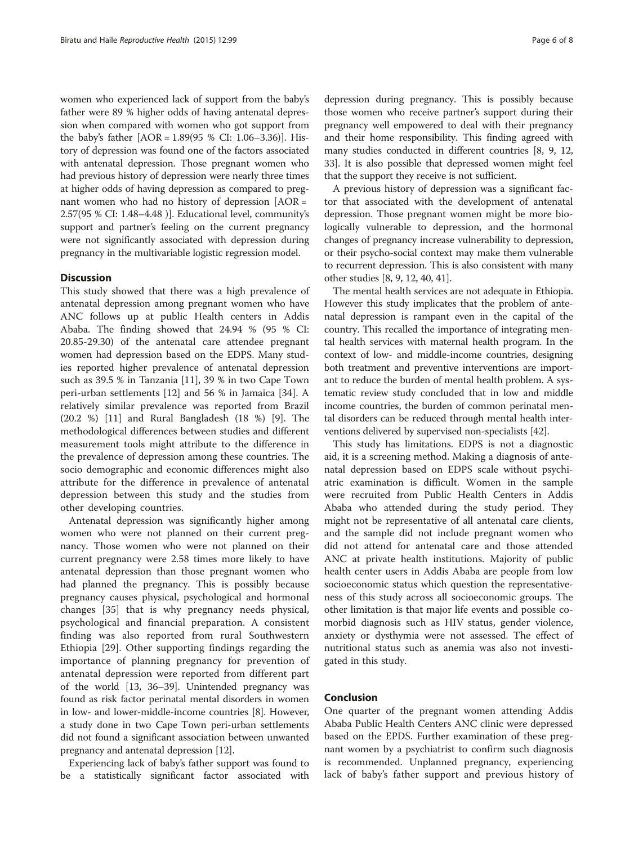women who experienced lack of support from the baby's father were 89 % higher odds of having antenatal depression when compared with women who got support from the baby's father [AOR = 1.89(95 % CI: 1.06–3.36)]. History of depression was found one of the factors associated with antenatal depression. Those pregnant women who had previous history of depression were nearly three times at higher odds of having depression as compared to pregnant women who had no history of depression [AOR = 2.57(95 % CI: 1.48–4.48 )]. Educational level, community's support and partner's feeling on the current pregnancy were not significantly associated with depression during pregnancy in the multivariable logistic regression model.

### **Discussion**

This study showed that there was a high prevalence of antenatal depression among pregnant women who have ANC follows up at public Health centers in Addis Ababa. The finding showed that 24.94 % (95 % CI: 20.85-29.30) of the antenatal care attendee pregnant women had depression based on the EDPS. Many studies reported higher prevalence of antenatal depression such as 39.5 % in Tanzania [\[11](#page-6-0)], 39 % in two Cape Town peri-urban settlements [[12\]](#page-6-0) and 56 % in Jamaica [[34\]](#page-7-0). A relatively similar prevalence was reported from Brazil (20.2 %) [\[11](#page-6-0)] and Rural Bangladesh (18 %) [\[9](#page-6-0)]. The methodological differences between studies and different measurement tools might attribute to the difference in the prevalence of depression among these countries. The socio demographic and economic differences might also attribute for the difference in prevalence of antenatal depression between this study and the studies from other developing countries.

Antenatal depression was significantly higher among women who were not planned on their current pregnancy. Those women who were not planned on their current pregnancy were 2.58 times more likely to have antenatal depression than those pregnant women who had planned the pregnancy. This is possibly because pregnancy causes physical, psychological and hormonal changes [[35](#page-7-0)] that is why pregnancy needs physical, psychological and financial preparation. A consistent finding was also reported from rural Southwestern Ethiopia [[29\]](#page-6-0). Other supporting findings regarding the importance of planning pregnancy for prevention of antenatal depression were reported from different part of the world [\[13,](#page-6-0) [36](#page-7-0)–[39\]](#page-7-0). Unintended pregnancy was found as risk factor perinatal mental disorders in women in low- and lower-middle-income countries [[8\]](#page-6-0). However, a study done in two Cape Town peri-urban settlements did not found a significant association between unwanted pregnancy and antenatal depression [[12](#page-6-0)].

Experiencing lack of baby's father support was found to be a statistically significant factor associated with depression during pregnancy. This is possibly because those women who receive partner's support during their pregnancy well empowered to deal with their pregnancy and their home responsibility. This finding agreed with many studies conducted in different countries [\[8](#page-6-0), [9](#page-6-0), [12](#page-6-0), [33](#page-6-0)]. It is also possible that depressed women might feel that the support they receive is not sufficient.

A previous history of depression was a significant factor that associated with the development of antenatal depression. Those pregnant women might be more biologically vulnerable to depression, and the hormonal changes of pregnancy increase vulnerability to depression, or their psycho-social context may make them vulnerable to recurrent depression. This is also consistent with many other studies [[8, 9](#page-6-0), [12,](#page-6-0) [40, 41](#page-7-0)].

The mental health services are not adequate in Ethiopia. However this study implicates that the problem of antenatal depression is rampant even in the capital of the country. This recalled the importance of integrating mental health services with maternal health program. In the context of low- and middle-income countries, designing both treatment and preventive interventions are important to reduce the burden of mental health problem. A systematic review study concluded that in low and middle income countries, the burden of common perinatal mental disorders can be reduced through mental health interventions delivered by supervised non-specialists [\[42\]](#page-7-0).

This study has limitations. EDPS is not a diagnostic aid, it is a screening method. Making a diagnosis of antenatal depression based on EDPS scale without psychiatric examination is difficult. Women in the sample were recruited from Public Health Centers in Addis Ababa who attended during the study period. They might not be representative of all antenatal care clients, and the sample did not include pregnant women who did not attend for antenatal care and those attended ANC at private health institutions. Majority of public health center users in Addis Ababa are people from low socioeconomic status which question the representativeness of this study across all socioeconomic groups. The other limitation is that major life events and possible comorbid diagnosis such as HIV status, gender violence, anxiety or dysthymia were not assessed. The effect of nutritional status such as anemia was also not investigated in this study.

#### Conclusion

One quarter of the pregnant women attending Addis Ababa Public Health Centers ANC clinic were depressed based on the EPDS. Further examination of these pregnant women by a psychiatrist to confirm such diagnosis is recommended. Unplanned pregnancy, experiencing lack of baby's father support and previous history of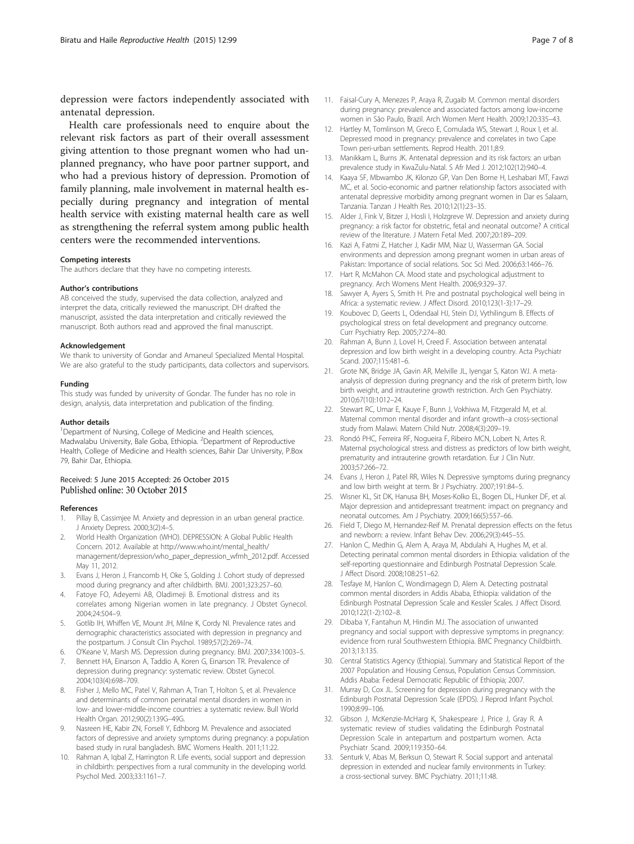<span id="page-6-0"></span>depression were factors independently associated with antenatal depression.

Health care professionals need to enquire about the relevant risk factors as part of their overall assessment giving attention to those pregnant women who had unplanned pregnancy, who have poor partner support, and who had a previous history of depression. Promotion of family planning, male involvement in maternal health especially during pregnancy and integration of mental health service with existing maternal health care as well as strengthening the referral system among public health centers were the recommended interventions.

#### Competing interests

The authors declare that they have no competing interests.

#### Author's contributions

AB conceived the study, supervised the data collection, analyzed and interpret the data, critically reviewed the manuscript. DH drafted the manuscript, assisted the data interpretation and critically reviewed the manuscript. Both authors read and approved the final manuscript.

#### Acknowledgement

We thank to university of Gondar and Amaneul Specialized Mental Hospital. We are also grateful to the study participants, data collectors and supervisors.

#### Funding

This study was funded by university of Gondar. The funder has no role in design, analysis, data interpretation and publication of the finding.

#### Author details

<sup>1</sup>Department of Nursing, College of Medicine and Health sciences, Madwalabu University, Bale Goba, Ethiopia. <sup>2</sup>Department of Reproductive Health, College of Medicine and Health sciences, Bahir Dar University, P.Box 79, Bahir Dar, Ethiopia.

#### Received: 5 June 2015 Accepted: 26 October 2015 Published online: 30 October 2015

#### References

- 1. Pillay B, Cassimjee M. Anxiety and depression in an urban general practice. J Anxiety Depress. 2000;3(2):4–5.
- 2. World Health Organization (WHO). DEPRESSION: A Global Public Health Concern. 2012. Available at [http://www.who.int/mental\\_health/](http://www.who.int/mental_health/management/depression/who_paper_depression_wfmh_2012.pdf) [management/depression/who\\_paper\\_depression\\_wfmh\\_2012.pdf.](http://www.who.int/mental_health/management/depression/who_paper_depression_wfmh_2012.pdf) Accessed May 11, 2012.
- 3. Evans J, Heron J, Francomb H, Oke S, Golding J. Cohort study of depressed mood during pregnancy and after childbirth. BMJ. 2001;323:257–60.
- 4. Fatoye FO, Adeyemi AB, Oladimeji B. Emotional distress and its correlates among Nigerian women in late pregnancy. J Obstet Gynecol. 2004;24:504–9.
- 5. Gotlib IH, Whiffen VE, Mount JH, Milne K, Cordy NI. Prevalence rates and demographic characteristics associated with depression in pregnancy and the postpartum. J Consult Clin Psychol. 1989;57(2):269–74.
- 6. O'Keane V, Marsh MS. Depression during pregnancy. BMJ. 2007;334:1003–5.
- Bennett HA, Einarson A, Taddio A, Koren G, Einarson TR. Prevalence of depression during pregnancy: systematic review. Obstet Gynecol. 2004;103(4):698–709.
- 8. Fisher J, Mello MC, Patel V, Rahman A, Tran T, Holton S, et al. Prevalence and determinants of common perinatal mental disorders in women in low- and lower-middle-income countries: a systematic review. Bull World Health Organ. 2012;90(2):139G–49G.
- 9. Nasreen HE, Kabir ZN, Forsell Y, Edhborg M. Prevalence and associated factors of depressive and anxiety symptoms during pregnancy: a population based study in rural bangladesh. BMC Womens Health. 2011;11:22.
- 10. Rahman A, Iqbal Z, Harrington R. Life events, social support and depression in childbirth: perspectives from a rural community in the developing world. Psychol Med. 2003;33:1161–7.
- 11. Faisal-Cury A, Menezes P, Araya R, Zugaib M. Common mental disorders during pregnancy: prevalence and associated factors among low-income women in São Paulo, Brazil. Arch Women Ment Health. 2009;120:335–43.
- 12. Hartley M, Tomlinson M, Greco E, Comulada WS, Stewart J, Roux I, et al. Depressed mood in pregnancy: prevalence and correlates in two Cape Town peri-urban settlements. Reprod Health. 2011;8:9.
- 13. Manikkam L, Burns JK. Antenatal depression and its risk factors: an urban prevalence study in KwaZulu-Natal. S Afr Med J. 2012;102(12):940–4.
- 14. Kaaya SF, Mbwambo JK, Kilonzo GP, Van Den Borne H, Leshabari MT, Fawzi MC, et al. Socio-economic and partner relationship factors associated with antenatal depressive morbidity among pregnant women in Dar es Salaam, Tanzania. Tanzan J Health Res. 2010;12(1):23–35.
- 15. Alder J, Fink V, Bitzer J, Hosli I, Holzgreve W. Depression and anxiety during pregnancy: a risk factor for obstetric, fetal and neonatal outcome? A critical review of the literature. J Matern Fetal Med. 2007;20:189–209.
- 16. Kazi A, Fatmi Z, Hatcher J, Kadir MM, Niaz U, Wasserman GA. Social environments and depression among pregnant women in urban areas of Pakistan: Importance of social relations. Soc Sci Med. 2006;63:1466–76.
- 17. Hart R, McMahon CA. Mood state and psychological adjustment to pregnancy. Arch Womens Ment Health. 2006;9:329–37.
- 18. Sawyer A, Ayers S, Smith H. Pre and postnatal psychological well being in Africa: a systematic review. J Affect Disord. 2010;123(1-3):17–29.
- 19. Koubovec D, Geerts L, Odendaal HJ, Stein DJ, Vythilingum B. Effects of psychological stress on fetal development and pregnancy outcome. Curr Psychiatry Rep. 2005;7:274–80.
- 20. Rahman A, Bunn J, Lovel H, Creed F. Association between antenatal depression and low birth weight in a developing country. Acta Psychiatr Scand. 2007;115:481–6.
- 21. Grote NK, Bridge JA, Gavin AR, Melville JL, Iyengar S, Katon WJ. A metaanalysis of depression during pregnancy and the risk of preterm birth, low birth weight, and intrauterine growth restriction. Arch Gen Psychiatry. 2010;67(10):1012–24.
- 22. Stewart RC, Umar E, Kauye F, Bunn J, Vokhiwa M, Fitzgerald M, et al. Maternal common mental disorder and infant growth–a cross-sectional study from Malawi. Matern Child Nutr. 2008;4(3):209–19.
- 23. Rondó PHC, Ferreira RF, Nogueira F, Ribeiro MCN, Lobert N, Artes R. Maternal psychological stress and distress as predictors of low birth weight, prematurity and intrauterine growth retardation. Eur J Clin Nutr. 2003;57:266–72.
- 24. Evans J, Heron J, Patel RR, Wiles N. Depressive symptoms during pregnancy and low birth weight at term. Br J Psychiatry. 2007;191:84–5.
- 25. Wisner KL, Sit DK, Hanusa BH, Moses-Kolko EL, Bogen DL, Hunker DF, et al. Major depression and antidepressant treatment: impact on pregnancy and neonatal outcomes. Am J Psychiatry. 2009;166(5):557–66.
- 26. Field T, Diego M, Hernandez-Reif M. Prenatal depression effects on the fetus and newborn: a review. Infant Behav Dev. 2006;29(3):445–55.
- 27. Hanlon C, Medhin G, Alem A, Araya M, Abdulahi A, Hughes M, et al. Detecting perinatal common mental disorders in Ethiopia: validation of the self-reporting questionnaire and Edinburgh Postnatal Depression Scale. J Affect Disord. 2008;108:251–62.
- 28. Tesfaye M, Hanlon C, Wondimagegn D, Alem A. Detecting postnatal common mental disorders in Addis Ababa, Ethiopia: validation of the Edinburgh Postnatal Depression Scale and Kessler Scales. J Affect Disord. 2010;122(1-2):102–8.
- 29. Dibaba Y, Fantahun M, Hindin MJ. The association of unwanted pregnancy and social support with depressive symptoms in pregnancy: evidence from rural Southwestern Ethiopia. BMC Pregnancy Childbirth. 2013;13:135.
- 30. Central Statistics Agency (Ethiopia). Summary and Statistical Report of the 2007 Population and Housing Census, Population Census Commission. Addis Ababa: Federal Democratic Republic of Ethiopia; 2007.
- 31. Murray D, Cox JL. Screening for depression during pregnancy with the Edinburgh Postnatal Depression Scale (EPDS). J Reprod Infant Psychol. 1990;8:99–106.
- 32. Gibson J, McKenzie-McHarg K, Shakespeare J, Price J, Gray R. A systematic review of studies validating the Edinburgh Postnatal Depression Scale in antepartum and postpartum women. Acta Psychiatr Scand. 2009;119:350–64.
- 33. Senturk V, Abas M, Berksun O, Stewart R. Social support and antenatal depression in extended and nuclear family environments in Turkey: a cross-sectional survey. BMC Psychiatry. 2011;11:48.